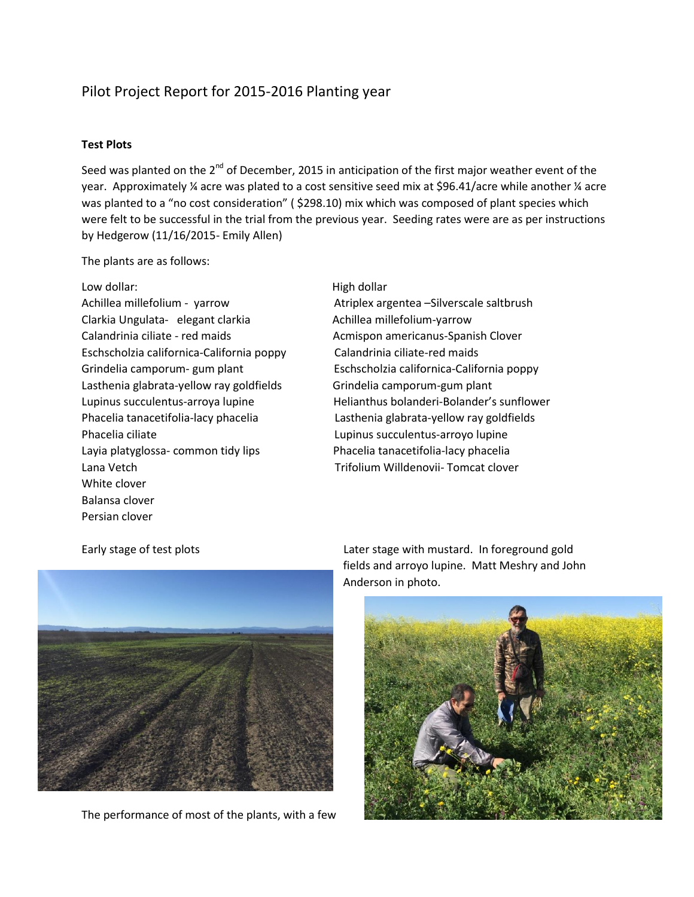# Pilot Project Report for 2015-2016 Planting year

#### **Test Plots**

Seed was planted on the  $2^{nd}$  of December, 2015 in anticipation of the first major weather event of the year. Approximately ¼ acre was plated to a cost sensitive seed mix at \$96.41/acre while another ¼ acre was planted to a "no cost consideration" ( \$298.10) mix which was composed of plant species which were felt to be successful in the trial from the previous year. Seeding rates were are as per instructions by Hedgerow (11/16/2015- Emily Allen)

The plants are as follows:

Low dollar: Now dollar: Now dollar: Now dollar High dollar Achillea millefolium - yarrow Atriplex argentea – Silverscale saltbrush Clarkia Ungulata- elegant clarkia Achillea millefolium-yarrow Calandrinia ciliate - red maids Acmispon americanus-Spanish Clover Eschscholzia californica-California poppy Calandrinia ciliate-red maids Lasthenia glabrata-yellow ray goldfields Grindelia camporum-gum plant Phacelia ciliate Lupinus succulentus-arroyo lupine Layia platyglossa- common tidy lips Phacelia tanacetifolia-lacy phacelia Lana Vetch Trifolium Willdenovii- Tomcat clover White clover Balansa clover Persian clover

Grindelia camporum- gum plant Eschscholzia californica-California poppy Lupinus succulentus-arroya lupine Helianthus bolanderi-Bolander's sunflower Phacelia tanacetifolia-lacy phacelia Lasthenia glabrata-yellow ray goldfields



The performance of most of the plants, with a few

Early stage of test plots Later stage with mustard. In foreground gold fields and arroyo lupine. Matt Meshry and John Anderson in photo.

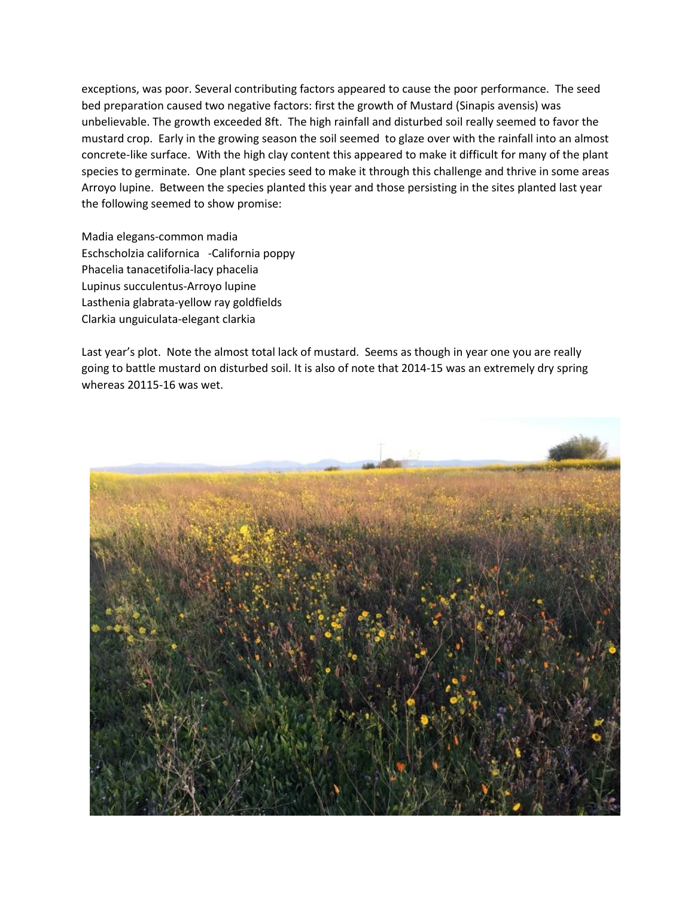exceptions, was poor. Several contributing factors appeared to cause the poor performance. The seed bed preparation caused two negative factors: first the growth of Mustard (Sinapis avensis) was unbelievable. The growth exceeded 8ft. The high rainfall and disturbed soil really seemed to favor the mustard crop. Early in the growing season the soil seemed to glaze over with the rainfall into an almost concrete-like surface. With the high clay content this appeared to make it difficult for many of the plant species to germinate. One plant species seed to make it through this challenge and thrive in some areas Arroyo lupine. Between the species planted this year and those persisting in the sites planted last year the following seemed to show promise:

Madia elegans-common madia Eschscholzia californica -California poppy Phacelia tanacetifolia-lacy phacelia Lupinus succulentus-Arroyo lupine Lasthenia glabrata-yellow ray goldfields Clarkia unguiculata-elegant clarkia

Last year's plot. Note the almost total lack of mustard. Seems as though in year one you are really going to battle mustard on disturbed soil. It is also of note that 2014-15 was an extremely dry spring whereas 20115-16 was wet.

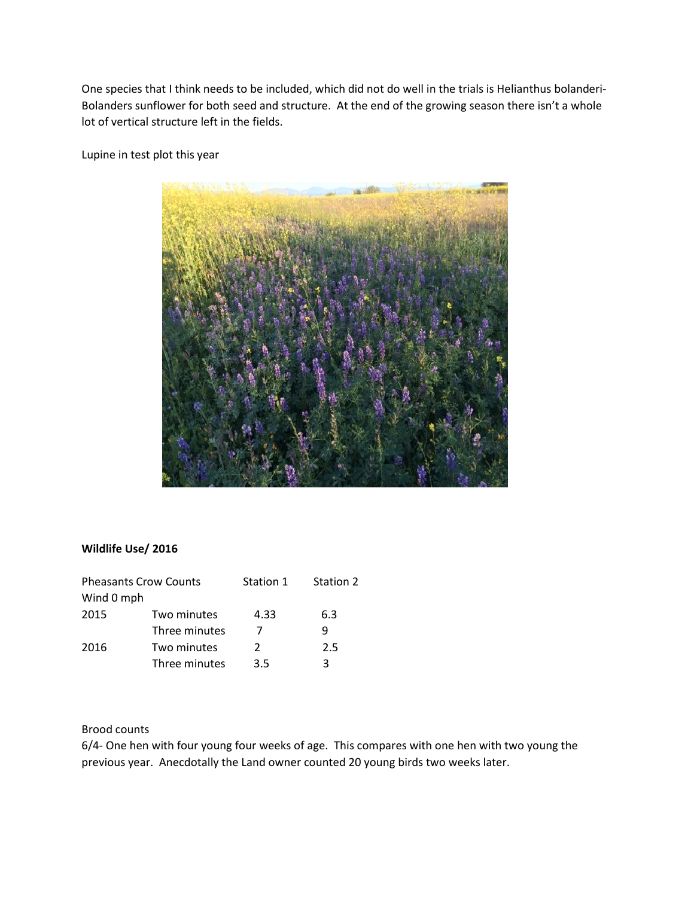One species that I think needs to be included, which did not do well in the trials is Helianthus bolanderi-Bolanders sunflower for both seed and structure. At the end of the growing season there isn't a whole lot of vertical structure left in the fields.

Lupine in test plot this year



### **Wildlife Use/ 2016**

| <b>Pheasants Crow Counts</b> |               | Station 1 | Station 2 |
|------------------------------|---------------|-----------|-----------|
| Wind 0 mph                   |               |           |           |
| 2015                         | Two minutes   | 4.33      | 6.3       |
|                              | Three minutes | 7         | q         |
| 2016                         | Two minutes   | 2         | 2.5       |
|                              | Three minutes | 3.5       | 3         |

# Brood counts

6/4- One hen with four young four weeks of age. This compares with one hen with two young the previous year. Anecdotally the Land owner counted 20 young birds two weeks later.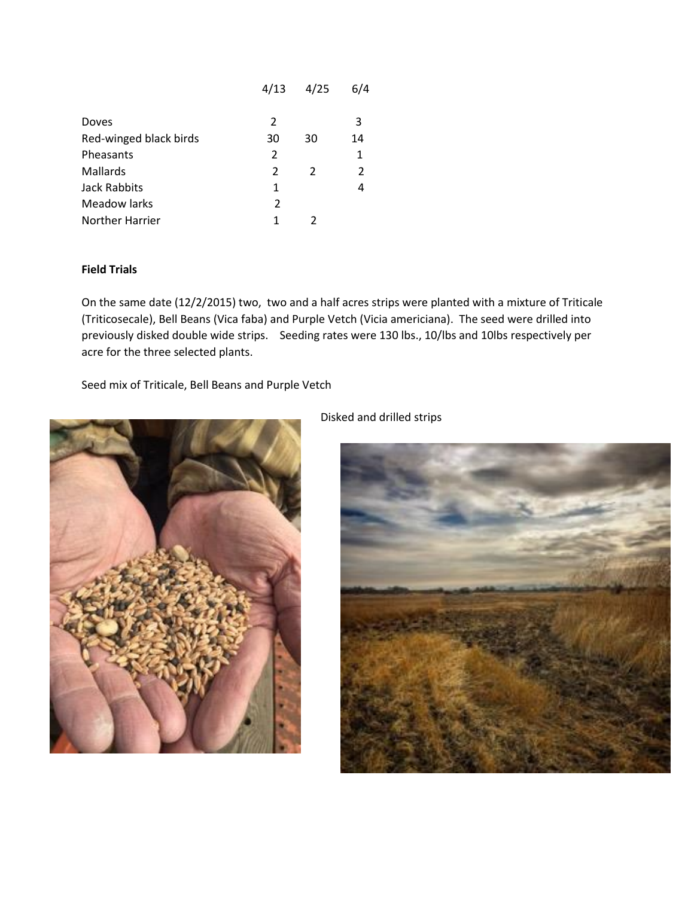|                        | 4/13 | 4/25 | 6/4            |
|------------------------|------|------|----------------|
| Doves                  | 2    |      | 3              |
| Red-winged black birds | 30   | 30   | 14             |
| Pheasants              | 2    |      | 1              |
| Mallards               | 2    | 2    | $\overline{2}$ |
| <b>Jack Rabbits</b>    | 1    |      | 4              |
| <b>Meadow larks</b>    | 2    |      |                |
| Norther Harrier        | 1    |      |                |

### **Field Trials**

On the same date (12/2/2015) two, two and a half acres strips were planted with a mixture of Triticale (Triticosecale), Bell Beans (Vica faba) and Purple Vetch (Vicia americiana). The seed were drilled into previously disked double wide strips. Seeding rates were 130 lbs., 10/lbs and 10lbs respectively per acre for the three selected plants.

Seed mix of Triticale, Bell Beans and Purple Vetch



Disked and drilled strips

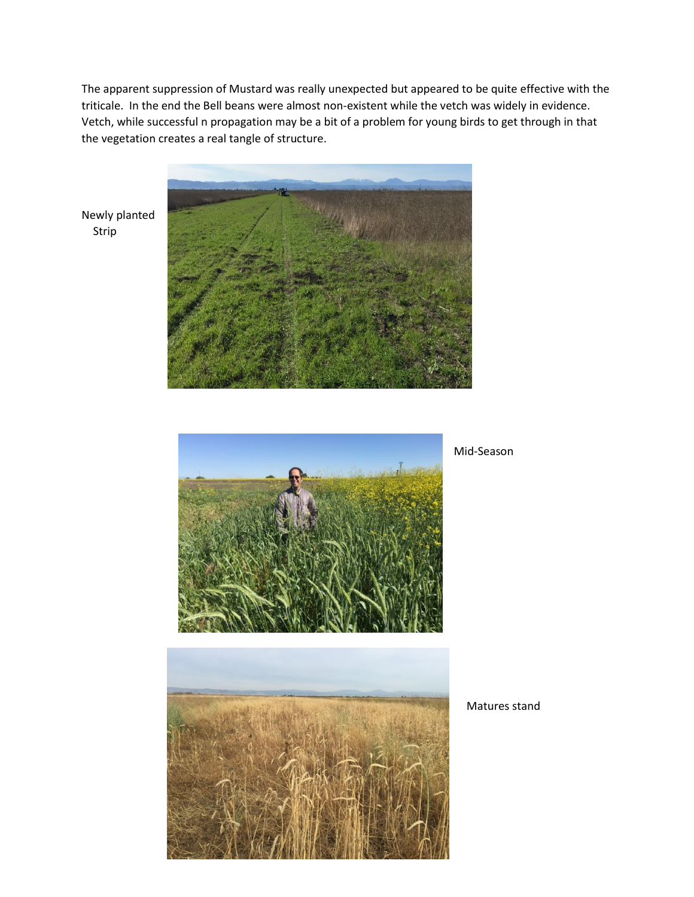The apparent suppression of Mustard was really unexpected but appeared to be quite effective with the triticale. In the end the Bell beans were almost non-existent while the vetch was widely in evidence. Vetch, while successful n propagation may be a bit of a problem for young birds to get through in that the vegetation creates a real tangle of structure.



Newly planted Strip



Mid-Season



Matures stand